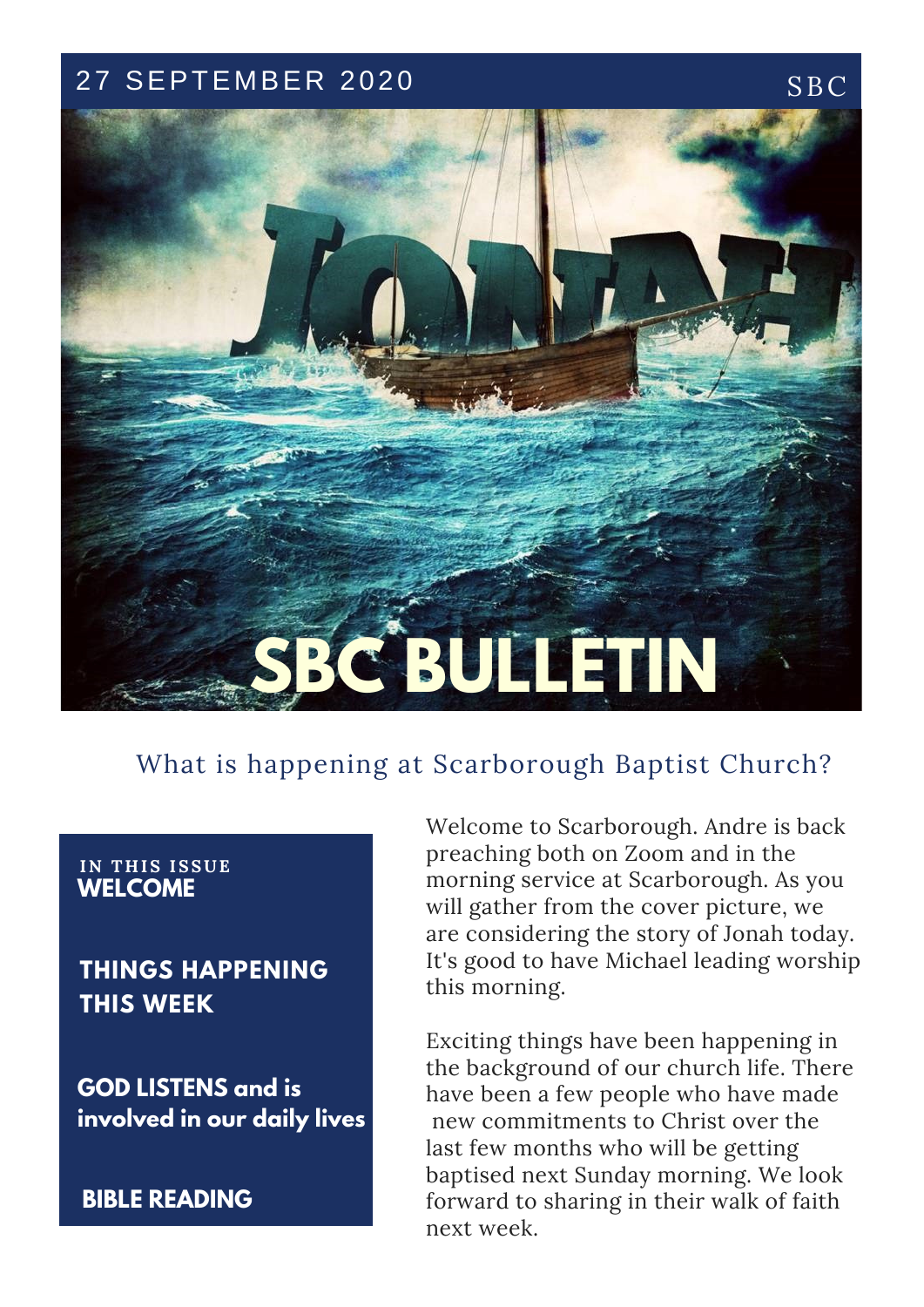## 27 SEPTEMBER 2020 SBC



## What is happening at Scarborough Baptist Church?

#### **IN T H IS ISSUE WELCOME**

**THINGS HAPPENING THIS WEEK**

**GOD LISTENS and is involved in our daily lives**

**BIBLE READING**

Welcome to Scarborough. Andre is back preaching both on Zoom and in the morning service at Scarborough. As you will gather from the cover picture, we are considering the story of Jonah today. It's good to have Michael leading worship this morning.

Exciting things have been happening in the background of our church life. There have been a few people who have made new commitments to Christ over the last few months who will be getting baptised next Sunday morning. We look forward to sharing in their walk of faith next week.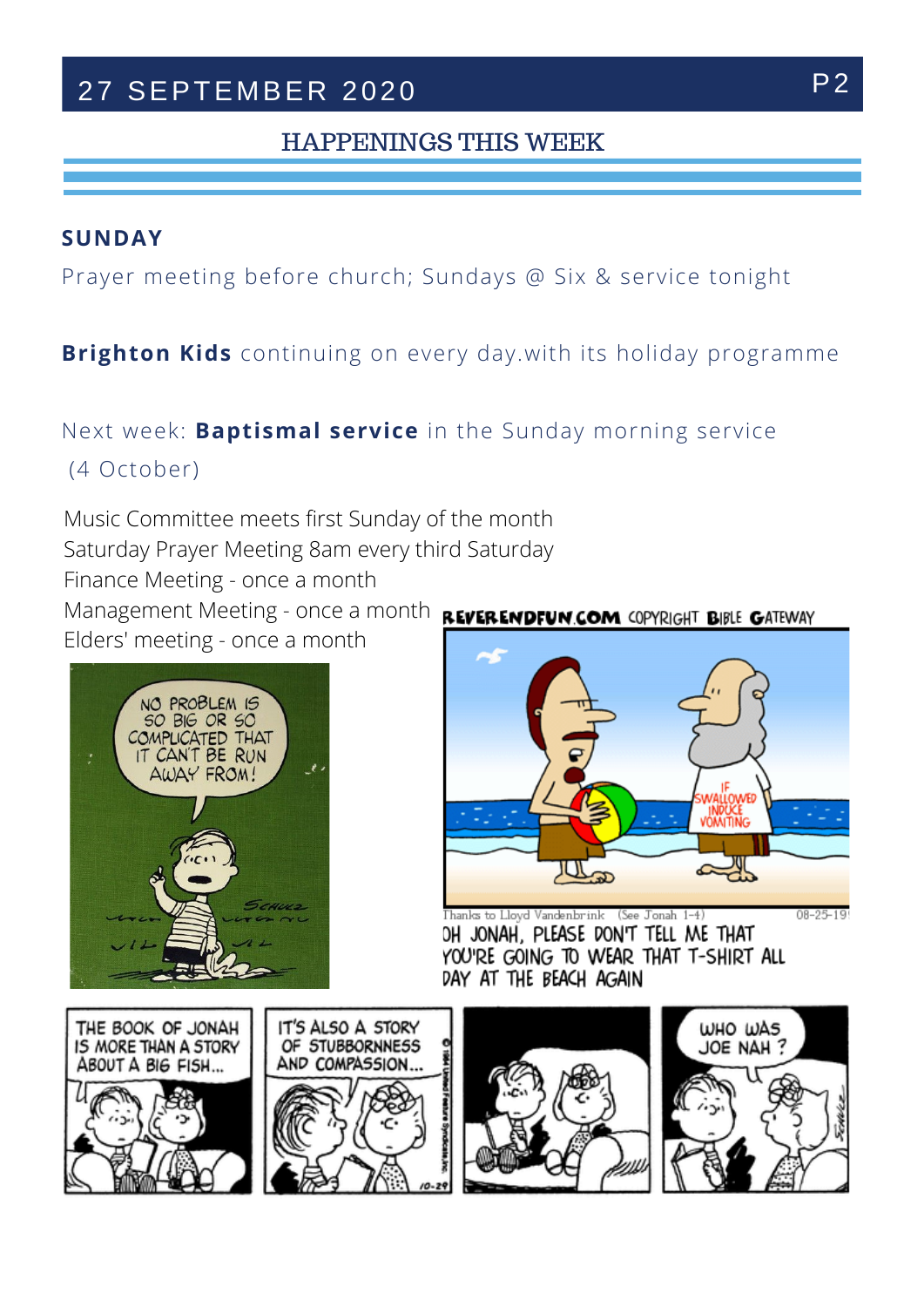# 27 SEPTEMBER 2020 P2

### HAPPENINGS THIS WEEK

#### **SUNDAY**

Prayer meeting before church; Sundays @ Six & service tonight

### **Brighton Kids** continuing on every day.with its holiday programme

#### Next week: **Baptismal service** in the Sunday morning service T H E K I N D O F C H W E P R A Y T O B E P R A Y T O B E P R A Y T O B E P R A Y T O B E

(4 October)

Music Committee meets first Sunday of the month Saturday Prayer Meeting 8am every third Saturday Finance Meeting - once a month Management Meeting - once a month **REVERENDFUN.COM COPYRIGHT BIBLE GATEWAY** Elders' meeting - once a month





Thanks to Lloyd Vandenbrink (See Jonah 1-4) OH JONAH, PLEASE DON'T TELL ME THAT YOU'RE GOING TO WEAR THAT T-SHIRT ALL DAY AT THE BEACH AGAIN



 $08 - 25 - 19$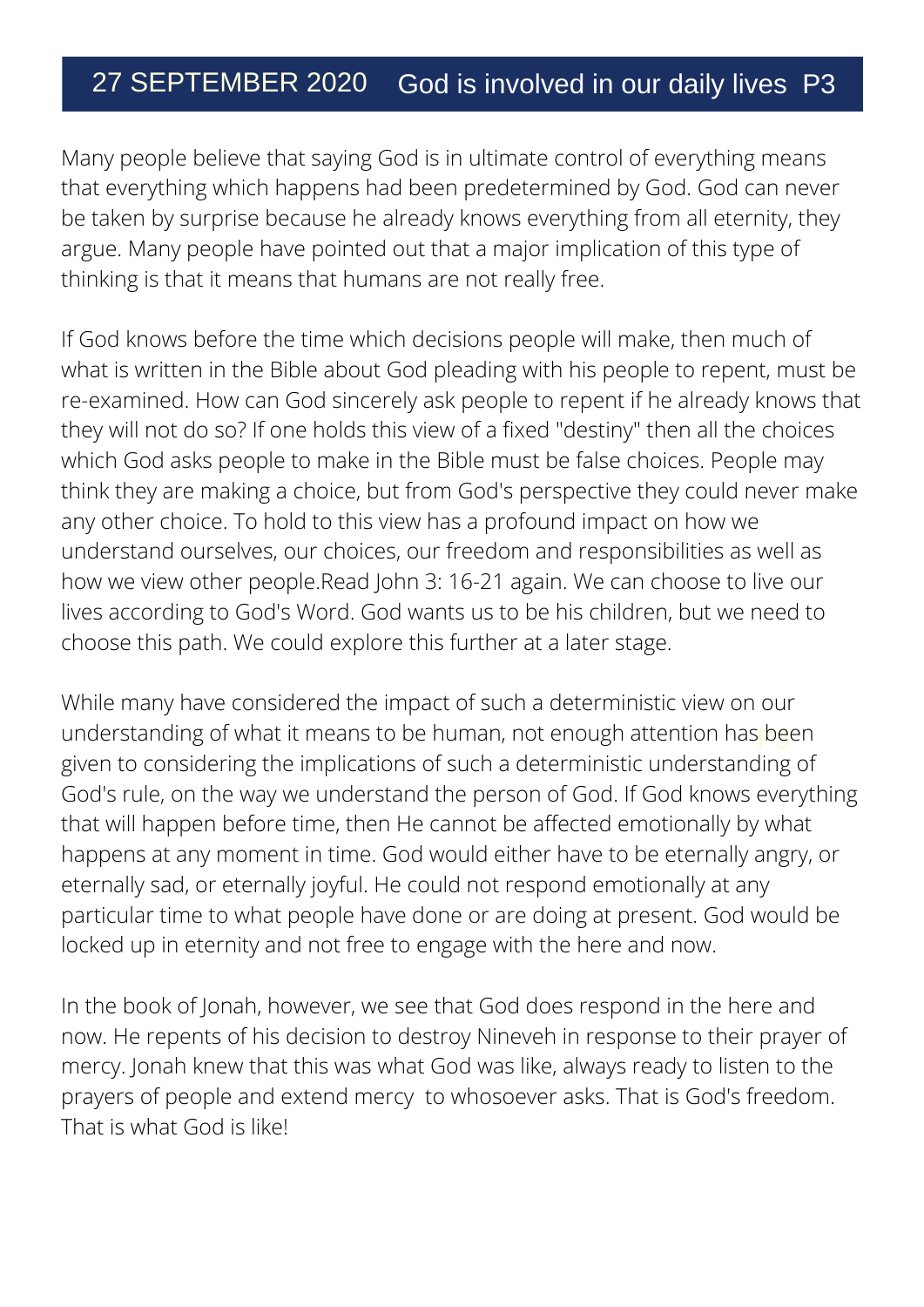# 27 SEPTEMBER 2020 God is involved in our daily lives P3

Many people believe that saying God is in ultimate control of everything means that everything which happens had been predetermined by God. God can never be taken by surprise because he already knows everything from all eternity, they argue. Many people have pointed out that a major implication of this type of thinking is that it means that humans are not really free.

If God knows before the time which decisions people will make, then much of what is written in the Bible about God pleading with his people to repent, must be re-examined. How can God sincerely ask people to repent if he already knows that they will not do so? If one holds this view of a fixed "destiny" then all the choices which God asks people to make in the Bible must be false choices. People may think they are making a choice, but from God's perspective they could never make any other choice. To hold to this view has a profound impact on how we understand ourselves, our choices, our freedom and responsibilities as well as how we view other people.Read John 3: 16-21 again. We can choose to live our lives according to God's Word. God wants us to be his children, but we need to choose this path. We could explore this further at a later stage.

understanding of what it means to be human, not enough attention has been While many have considered the impact of such a deterministic view on our given to considering the implications of such a deterministic understanding of God's rule, on the way we understand the person of God. If God knows everything that will happen before time, then He cannot be affected emotionally by what happens at any moment in time. God would either have to be eternally angry, or eternally sad, or eternally joyful. He could not respond emotionally at any particular time to what people have done or are doing at present. God would be locked up in eternity and not free to engage with the here and now.

In the book of Jonah, however, we see that God does respond in the here and now. He repents of his decision to destroy Nineveh in response to their prayer of mercy. Jonah knew that this was what God was like, always ready to listen to the prayers of people and extend mercy to whosoever asks. That is God's freedom. That is what God is like!